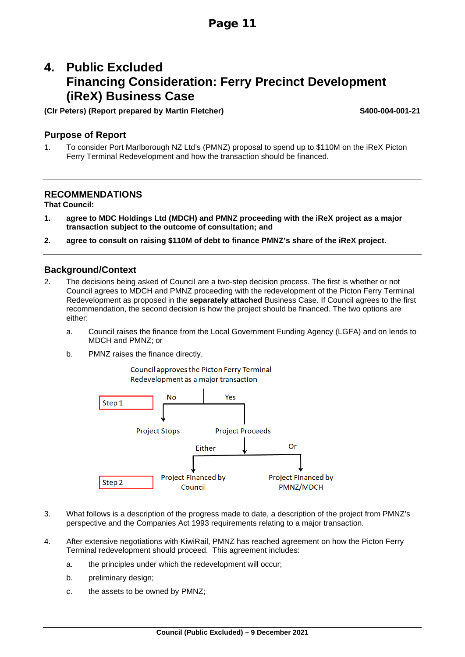# **4. Public Excluded Financing Consideration: Ferry Precinct Development (iReX) Business Case**

## **(Clr Peters) (Report prepared by Martin Fletcher) S400-004-001-21**

### **Purpose of Report**

1. To consider Port Marlborough NZ Ltd's (PMNZ) proposal to spend up to \$110M on the iReX Picton Ferry Terminal Redevelopment and how the transaction should be financed.

## **RECOMMENDATIONS**

**That Council:**

- **1. agree to MDC Holdings Ltd (MDCH) and PMNZ proceeding with the iReX project as a major transaction subject to the outcome of consultation; and**
- **2. agree to consult on raising \$110M of debt to finance PMNZ's share of the iReX project.**

## **Background/Context**

- 2. The decisions being asked of Council are a two-step decision process. The first is whether or not Council agrees to MDCH and PMNZ proceeding with the redevelopment of the Picton Ferry Terminal Redevelopment as proposed in the **separately attached** Business Case. If Council agrees to the first recommendation, the second decision is how the project should be financed. The two options are either:
	- a. Council raises the finance from the Local Government Funding Agency (LGFA) and on lends to MDCH and PMNZ; or
	- b. PMNZ raises the finance directly.

Council approves the Picton Ferry Terminal Redevelopment as a major transaction



- 3. What follows is a description of the progress made to date, a description of the project from PMNZ's perspective and the Companies Act 1993 requirements relating to a major transaction.
- 4. After extensive negotiations with KiwiRail, PMNZ has reached agreement on how the Picton Ferry Terminal redevelopment should proceed. This agreement includes:
	- a. the principles under which the redevelopment will occur;
	- b. preliminary design;
	- c. the assets to be owned by PMNZ;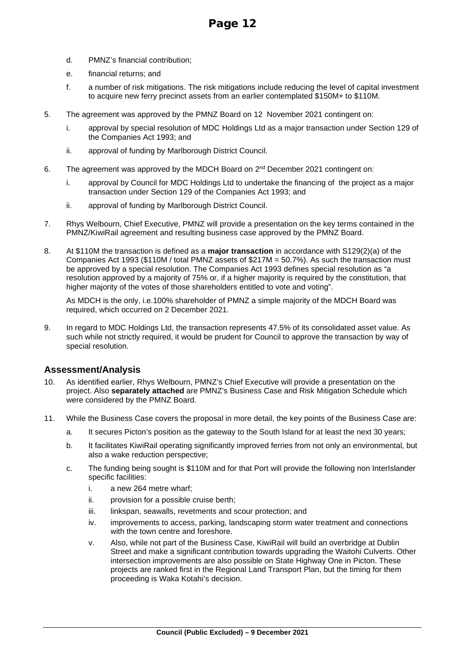- d. PMNZ's financial contribution;
- e. financial returns; and
- f. a number of risk mitigations. The risk mitigations include reducing the level of capital investment to acquire new ferry precinct assets from an earlier contemplated \$150M+ to \$110M.
- 5. The agreement was approved by the PMNZ Board on 12 November 2021 contingent on:
	- i. approval by special resolution of MDC Holdings Ltd as a major transaction under Section 129 of the Companies Act 1993; and
	- ii. approval of funding by Marlborough District Council.
- 6. The agreement was approved by the MDCH Board on  $2<sup>nd</sup>$  December 2021 contingent on:
	- i. approval by Council for MDC Holdings Ltd to undertake the financing of the project as a major transaction under Section 129 of the Companies Act 1993; and
	- ii. approval of funding by Marlborough District Council.
- 7. Rhys Welbourn, Chief Executive, PMNZ will provide a presentation on the key terms contained in the PMNZ/KiwiRail agreement and resulting business case approved by the PMNZ Board.
- 8. At \$110M the transaction is defined as a **major transaction** in accordance with S129(2)(a) of the Companies Act 1993 (\$110M / total PMNZ assets of \$217M = 50.7%). As such the transaction must be approved by a special resolution. The Companies Act 1993 defines special resolution as "a resolution approved by a majority of 75% or, if a higher majority is required by the constitution, that higher majority of the votes of those shareholders entitled to vote and voting".

As MDCH is the only, i.e.100% shareholder of PMNZ a simple majority of the MDCH Board was required, which occurred on 2 December 2021.

9. In regard to MDC Holdings Ltd, the transaction represents 47.5% of its consolidated asset value. As such while not strictly required, it would be prudent for Council to approve the transaction by way of special resolution.

## **Assessment/Analysis**

- 10. As identified earlier, Rhys Welbourn, PMNZ's Chief Executive will provide a presentation on the project. Also **separately attached** are PMNZ's Business Case and Risk Mitigation Schedule which were considered by the PMNZ Board.
- 11. While the Business Case covers the proposal in more detail, the key points of the Business Case are:
	- a. It secures Picton's position as the gateway to the South Island for at least the next 30 years;
	- b. It facilitates KiwiRail operating significantly improved ferries from not only an environmental, but also a wake reduction perspective;
	- c. The funding being sought is \$110M and for that Port will provide the following non InterIslander specific facilities:
		- i. a new 264 metre wharf;
		- ii. provision for a possible cruise berth;
		- iii. linkspan, seawalls, revetments and scour protection; and
		- iv. improvements to access, parking, landscaping storm water treatment and connections with the town centre and foreshore.
		- v. Also, while not part of the Business Case, KiwiRail will build an overbridge at Dublin Street and make a significant contribution towards upgrading the Waitohi Culverts. Other intersection improvements are also possible on State Highway One in Picton. These projects are ranked first in the Regional Land Transport Plan, but the timing for them proceeding is Waka Kotahi's decision.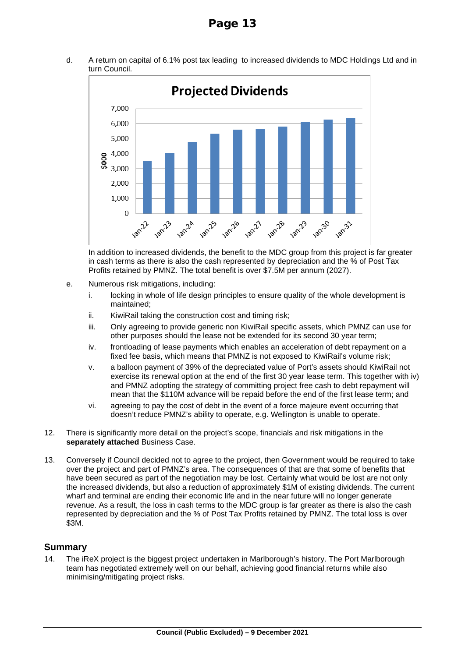d. A return on capital of 6.1% post tax leading to increased dividends to MDC Holdings Ltd and in turn Council.



In addition to increased dividends, the benefit to the MDC group from this project is far greater in cash terms as there is also the cash represented by depreciation and the % of Post Tax Profits retained by PMNZ. The total benefit is over \$7.5M per annum (2027).

- e. Numerous risk mitigations, including:
	- i. locking in whole of life design principles to ensure quality of the whole development is maintained;
	- ii. KiwiRail taking the construction cost and timing risk;
	- iii. Only agreeing to provide generic non KiwiRail specific assets, which PMNZ can use for other purposes should the lease not be extended for its second 30 year term;
	- iv. frontloading of lease payments which enables an acceleration of debt repayment on a fixed fee basis, which means that PMNZ is not exposed to KiwiRail's volume risk;
	- v. a balloon payment of 39% of the depreciated value of Port's assets should KiwiRail not exercise its renewal option at the end of the first 30 year lease term. This together with iv) and PMNZ adopting the strategy of committing project free cash to debt repayment will mean that the \$110M advance will be repaid before the end of the first lease term; and
	- vi. agreeing to pay the cost of debt in the event of a force majeure event occurring that doesn't reduce PMNZ's ability to operate, e.g. Wellington is unable to operate.
- 12. There is significantly more detail on the project's scope, financials and risk mitigations in the **separately attached** Business Case.
- 13. Conversely if Council decided not to agree to the project, then Government would be required to take over the project and part of PMNZ's area. The consequences of that are that some of benefits that have been secured as part of the negotiation may be lost. Certainly what would be lost are not only the increased dividends, but also a reduction of approximately \$1M of existing dividends. The current wharf and terminal are ending their economic life and in the near future will no longer generate revenue. As a result, the loss in cash terms to the MDC group is far greater as there is also the cash represented by depreciation and the % of Post Tax Profits retained by PMNZ. The total loss is over \$3M.

## **Summary**

14. The iReX project is the biggest project undertaken in Marlborough's history. The Port Marlborough team has negotiated extremely well on our behalf, achieving good financial returns while also minimising/mitigating project risks.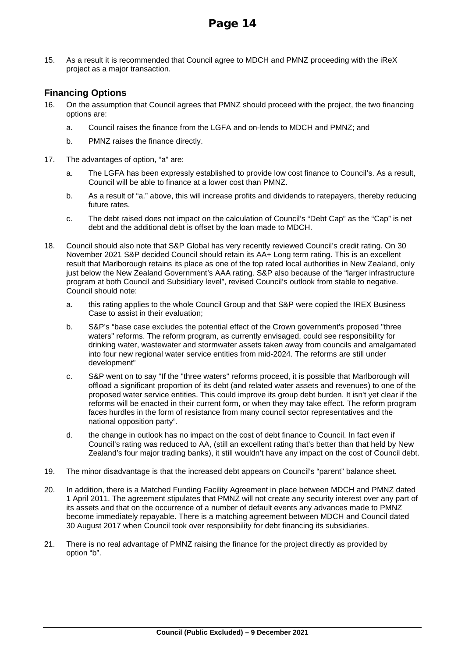15. As a result it is recommended that Council agree to MDCH and PMNZ proceeding with the iReX project as a major transaction.

## **Financing Options**

- 16. On the assumption that Council agrees that PMNZ should proceed with the project, the two financing options are:
	- a. Council raises the finance from the LGFA and on-lends to MDCH and PMNZ; and
	- b. PMNZ raises the finance directly.
- 17. The advantages of option, "a" are:
	- a. The LGFA has been expressly established to provide low cost finance to Council's. As a result, Council will be able to finance at a lower cost than PMNZ.
	- b. As a result of "a." above, this will increase profits and dividends to ratepayers, thereby reducing future rates.
	- c. The debt raised does not impact on the calculation of Council's "Debt Cap" as the "Cap" is net debt and the additional debt is offset by the loan made to MDCH.
- 18. Council should also note that S&P Global has very recently reviewed Council's credit rating. On 30 November 2021 S&P decided Council should retain its AA+ Long term rating. This is an excellent result that Marlborough retains its place as one of the top rated local authorities in New Zealand, only just below the New Zealand Government's AAA rating. S&P also because of the "larger infrastructure program at both Council and Subsidiary level", revised Council's outlook from stable to negative. Council should note:
	- a. this rating applies to the whole Council Group and that S&P were copied the IREX Business Case to assist in their evaluation;
	- b. S&P's "base case excludes the potential effect of the Crown government's proposed "three waters" reforms. The reform program, as currently envisaged, could see responsibility for drinking water, wastewater and stormwater assets taken away from councils and amalgamated into four new regional water service entities from mid-2024. The reforms are still under development"
	- c. S&P went on to say "If the "three waters" reforms proceed, it is possible that Marlborough will offload a significant proportion of its debt (and related water assets and revenues) to one of the proposed water service entities. This could improve its group debt burden. It isn't yet clear if the reforms will be enacted in their current form, or when they may take effect. The reform program faces hurdles in the form of resistance from many council sector representatives and the national opposition party".
	- d. the change in outlook has no impact on the cost of debt finance to Council. In fact even if Council's rating was reduced to AA, (still an excellent rating that's better than that held by New Zealand's four major trading banks), it still wouldn't have any impact on the cost of Council debt.
- 19. The minor disadvantage is that the increased debt appears on Council's "parent" balance sheet.
- 20. In addition, there is a Matched Funding Facility Agreement in place between MDCH and PMNZ dated 1 April 2011. The agreement stipulates that PMNZ will not create any security interest over any part of its assets and that on the occurrence of a number of default events any advances made to PMNZ become immediately repayable. There is a matching agreement between MDCH and Council dated 30 August 2017 when Council took over responsibility for debt financing its subsidiaries.
- 21. There is no real advantage of PMNZ raising the finance for the project directly as provided by option "b".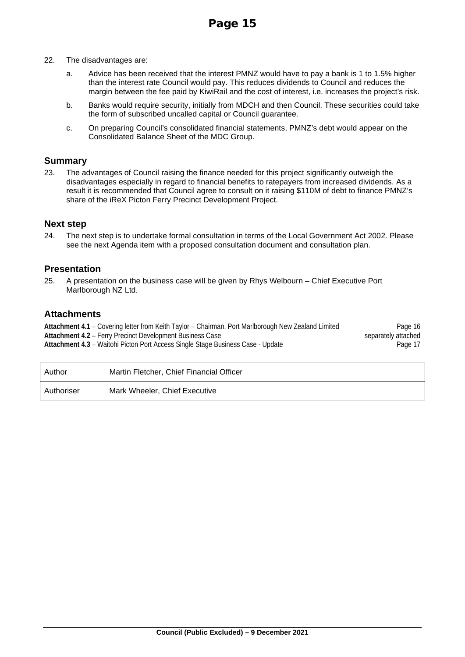- 22. The disadvantages are:
	- a. Advice has been received that the interest PMNZ would have to pay a bank is 1 to 1.5% higher than the interest rate Council would pay. This reduces dividends to Council and reduces the margin between the fee paid by KiwiRail and the cost of interest, i.e. increases the project's risk.
	- b. Banks would require security, initially from MDCH and then Council. These securities could take the form of subscribed uncalled capital or Council guarantee.
	- c. On preparing Council's consolidated financial statements, PMNZ's debt would appear on the Consolidated Balance Sheet of the MDC Group.

## **Summary**

23. The advantages of Council raising the finance needed for this project significantly outweigh the disadvantages especially in regard to financial benefits to ratepayers from increased dividends. As a result it is recommended that Council agree to consult on it raising \$110M of debt to finance PMNZ's share of the iReX Picton Ferry Precinct Development Project.

## **Next step**

24. The next step is to undertake formal consultation in terms of the Local Government Act 2002. Please see the next Agenda item with a proposed consultation document and consultation plan.

## **Presentation**

25. A presentation on the business case will be given by Rhys Welbourn – Chief Executive Port Marlborough NZ Ltd.

## **Attachments**

**[Attachment 4.1](#page-5-0)** – Covering letter from Keith Taylor – Chairman, Port Marlborough New Zealand Limited Pag[e 16](#page-5-0) Attachment 4.2 – Ferry Precinct Development Business Case<br>Attachment 4.3 – Waitohi Picton Port Access Single Stage Business Case - Update<br>Page 17 [Attachment 4.3](#page-6-0) - Waitohi Picton Port Access Single Stage Business Case - Update

| Author     | Martin Fletcher, Chief Financial Officer |
|------------|------------------------------------------|
| Authoriser | Mark Wheeler, Chief Executive            |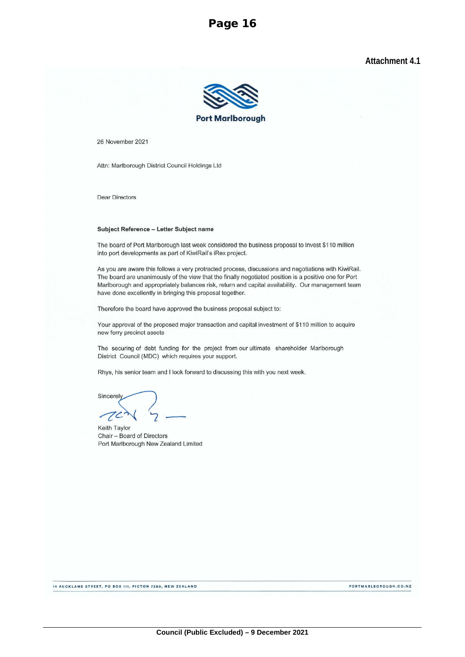**Attachment 4.1** 



<span id="page-5-0"></span>26 November 2021

Attn: Marlborough District Council Holdings Ltd

**Dear Directors** 

#### Subject Reference - Letter Subject name

The board of Port Marlborough last week considered the business proposal to invest \$110 million into port developments as part of KiwiRail's iRex project.

As you are aware this follows a very protracted process, discussions and negotiations with KiwiRail. The board are unanimously of the view that the finally negotiated position is a positive one for Port Marlborough and appropriately balances risk, return and capital availability. Our management team have done excellently in bringing this proposal together.

Therefore the board have approved the business proposal subject to:

Your approval of the proposed major transaction and capital investment of \$110 million to acquire new ferry precinct assets

The securing of debt funding for the project from our ultimate shareholder Marlborough District Council (MDC) which requires your support.

Rhys, his senior team and I look forward to discussing this with you next week.

Sincerely  $7c$ 

Keith Taylor Chair - Board of Directors Port Marlborough New Zealand Limited

14 AUCKLAND STREET, PO BOX 111, PICTON 7250, NEW ZEALAND

PORTMARLBOROUGH.CO.NZ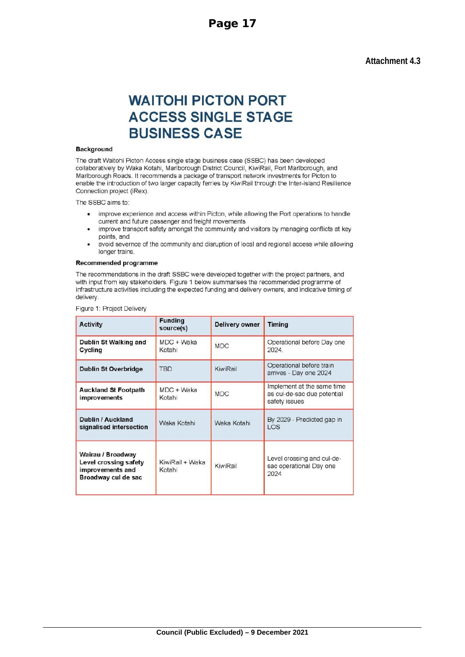## **Attachment 4.3**

# <span id="page-6-0"></span>**WAITOHI PICTON PORT ACCESS SINGLE STAGE BUSINESS CASE**

#### **Background**

The draft Waitohi Picton Access single stage business case (SSBC) has been developed collaboratively by Waka Kotahi, Marlborough District Council, KiwiRail, Port Marlborough, and Marlborough Roads. It recommends a package of transport network investments for Picton to enable the introduction of two larger capacity ferries by KiwiRail through the Inter-island Resilience Connection project (iRex).

The SSBC aims to:

- improve experience and access within Picton, while allowing the Port operations to handle  $\bullet$ current and future passenger and freight movements
- improve transport safety amongst the communiity and visitors by managing conflicts at key  $\bullet$ points, and
- avoid severnce of the community and disruption of local and regional access while allowing longer trains.

#### Recommended programme

The recommendations in the draft SSBC were developed together with the project partners, and with input from key stakeholders. Figure 1 below summarises the recommended programme of infrastructure activities including the expected funding and delivery owners, and indicative timing of delivery

| <b>Activity</b>                                                                       | <b>Funding</b><br>source(s) | <b>Delivery owner</b> | <b>Timing</b>                                                              |
|---------------------------------------------------------------------------------------|-----------------------------|-----------------------|----------------------------------------------------------------------------|
| Dublin St Walking and<br>Cycling                                                      | $MDC + Waka$<br>Kotahi      | <b>MDC</b>            | Operational before Day one<br>2024                                         |
| <b>Dublin St Overbridge</b>                                                           | <b>TBD</b>                  | KiwiRail              | Operational before train<br>arrives - Day one 2024                         |
| <b>Auckland St Footpath</b><br><b>improvements</b>                                    | $MDC + Waka$<br>Kotahi      | <b>MDC</b>            | Implement at the same time<br>as cul-de-sac due potential<br>safety issues |
| Dublin / Auckland<br>signalised intersection                                          | Waka Kotahi                 | Waka Kotahi           | By 2029 - Predicted gap in<br><b>LOS</b>                                   |
| Wairau / Broadway<br>Level crossing safety<br>improvements and<br>Broadway cul de sac | KiwiRail + Waka<br>Kotahi   | KiwiRail              | Level crossing and cul-de-<br>sac operational Day one<br>2024              |

Figure 1: Project Delivery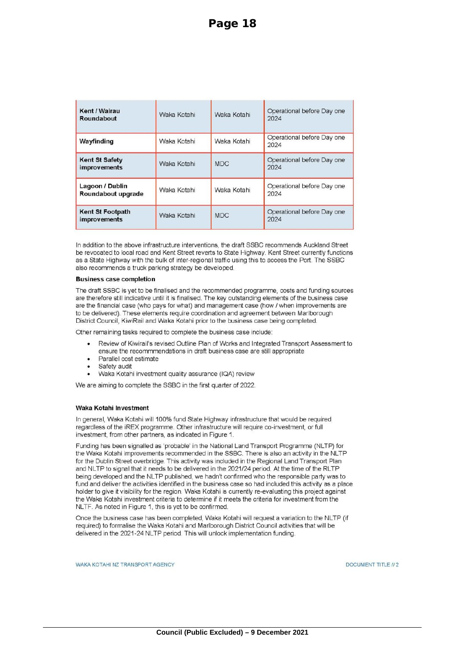| Kent / Wairau<br>Roundabout                    | Waka Kotahi | Waka Kotahi | Operational before Day one<br>2024 |
|------------------------------------------------|-------------|-------------|------------------------------------|
| Wayfinding                                     | Waka Kotahi | Waka Kotahi | Operational before Day one<br>2024 |
| <b>Kent St Safety</b><br>improvements          | Waka Kotahi | <b>MDC</b>  | Operational before Day one<br>2024 |
| Lagoon / Dublin<br>Roundabout upgrade          | Waka Kotahi | Waka Kotahi | Operational before Day one<br>2024 |
| <b>Kent St Footpath</b><br><i>improvements</i> | Waka Kotahi | <b>MDC</b>  | Operational before Day one<br>2024 |

In addition to the above infrastructure interventions, the draft SSBC recommends Auckland Street be revocated to local road and Kent Street reverts to State Highway. Kent Street currently functions as a State Highway with the bulk of inter-regional traffic using this to access the Port. The SSBC also recommends a truck parking strategy be developed.

#### **Business case completion**

The draft SSBC is yet to be finalised and the recommended programme, costs and funding sources are therefore still indicative until it is finalised. The key outstanding elements of the business case are the financial case (who pays for what) and management case (how / when improvements are to be delivered). These elements require coordination and agreement between Marlborough District Council, KiwiRail and Waka Kotahi prior to the business case being completed.

Other remaining tasks required to complete the business case include:

- Review of Kiwirail's revised Outline Plan of Works and Integrated Transport Assessment to ensure the recommmendations in draft business case are still appropriate
- Parallel cost estimate
- Safety audit
- Waka Kotahi investment quality assurance (IQA) review

We are aiming to complete the SSBC in the first quarter of 2022.

#### Waka Kotahi Investment

In general, Waka Kotahi will 100% fund State Highway infrastructure that would be required regardless of the iREX programme. Other infrastructure will require co-investment, or full investment, from other partners, as indicated in Figure 1.

Funding has been signalled as 'probable' in the National Land Transport Programme (NLTP) for the Waka Kotahi improvements recommended in the SSBC. There is also an activity in the NLTP for the Dublin Street overbridge. This activity was included in the Regional Land Transport Plan and NLTP to signal that it needs to be delivered in the 2021/24 period. At the time of the RLTP being developed and the NLTP published, we hadn't confirmed who the responsible party was to fund and deliver the activities identified in the business case so had included this activity as a place holder to give it visibility for the region. Waka Kotahi is currently re-evaluating this project against the Waka Kotahi investment criteria to determine if it meets the criteria for investment from the NLTF. As noted in Figure 1, this is yet to be confirmed.

Once the business case has been completed, Waka Kotahi will request a variation to the NLTP (if required) to formalise the Waka Kotahi and Marlborough District Council activities that will be delivered in the 2021-24 NLTP period. This will unlock implementation funding.

WAKA KOTAHI NZ TRANSPORT AGENCY

DOCUMENT TITLE // 2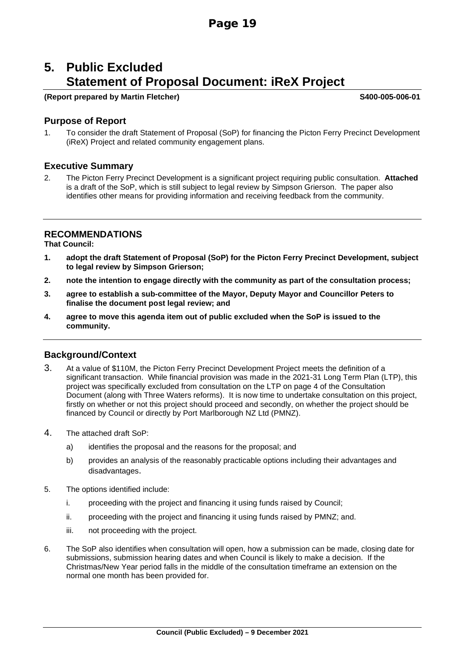# **5. Public Excluded Statement of Proposal Document: iReX Project**

#### **(Report prepared by Martin Fletcher) S400-005-006-01**

## **Purpose of Report**

1. To consider the draft Statement of Proposal (SoP) for financing the Picton Ferry Precinct Development (iReX) Project and related community engagement plans.

## **Executive Summary**

2. The Picton Ferry Precinct Development is a significant project requiring public consultation. **Attached** is a draft of the SoP, which is still subject to legal review by Simpson Grierson. The paper also identifies other means for providing information and receiving feedback from the community.

## **RECOMMENDATIONS**

**That Council:**

- **1. adopt the draft Statement of Proposal (SoP) for the Picton Ferry Precinct Development, subject to legal review by Simpson Grierson;**
- **2. note the intention to engage directly with the community as part of the consultation process;**
- **3. agree to establish a sub-committee of the Mayor, Deputy Mayor and Councillor Peters to finalise the document post legal review; and**
- **4. agree to move this agenda item out of public excluded when the SoP is issued to the community.**

## **Background/Context**

- 3. At a value of \$110M, the Picton Ferry Precinct Development Project meets the definition of a significant transaction. While financial provision was made in the 2021-31 Long Term Plan (LTP), this project was specifically excluded from consultation on the LTP on page 4 of the Consultation Document (along with Three Waters reforms). It is now time to undertake consultation on this project, firstly on whether or not this project should proceed and secondly, on whether the project should be financed by Council or directly by Port Marlborough NZ Ltd (PMNZ).
- 4. The attached draft SoP:
	- a) identifies the proposal and the reasons for the proposal; and
	- b) provides an analysis of the reasonably practicable options including their advantages and disadvantages.
- 5. The options identified include:
	- i. proceeding with the project and financing it using funds raised by Council;
	- ii. proceeding with the project and financing it using funds raised by PMNZ; and.
	- iii. not proceeding with the project.
- 6. The SoP also identifies when consultation will open, how a submission can be made, closing date for submissions, submission hearing dates and when Council is likely to make a decision. If the Christmas/New Year period falls in the middle of the consultation timeframe an extension on the normal one month has been provided for.